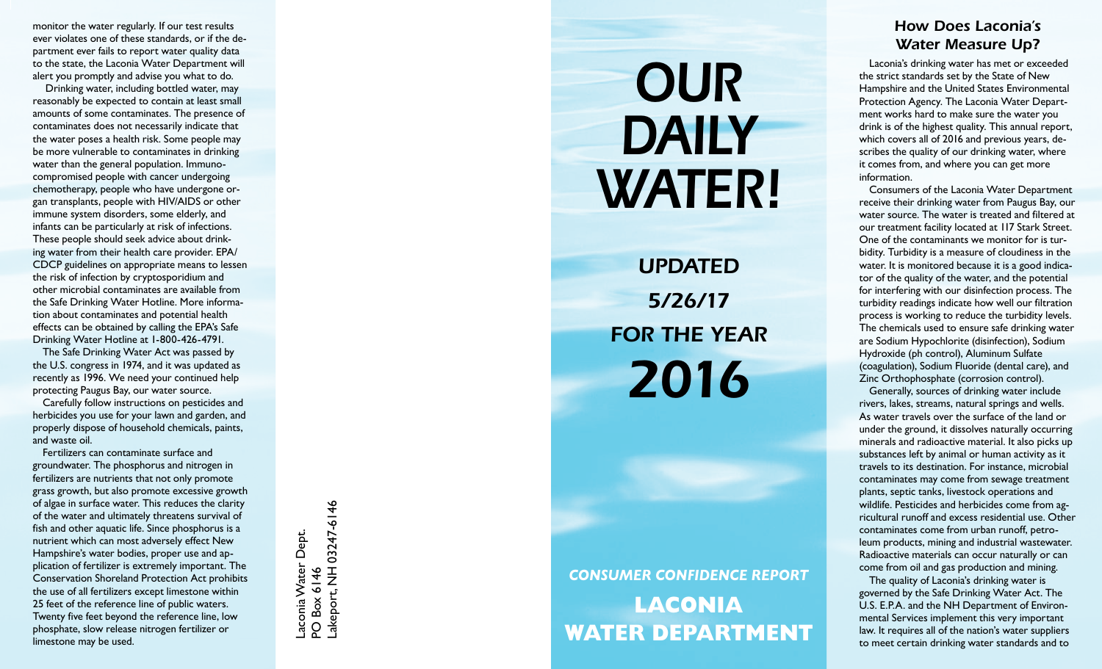monitor the water regularly. If our test results ever violates one of these standards, or if the de partment ever fails to report water quality data to the state, the Laconia Water Department will alert you promptly and advise you what to do.

 Drinking water, including bottled water, may reasonably be expected to contain at least small amounts of some contaminates. The presence of contaminates does not necessarily indicate that the water poses a health risk. Some people may be more vulnerable to contaminates in drinking water than the general population. Immunocompromised people with cancer undergoing chemotherapy, people who have undergone or gan transplants, people with HIV/AIDS or other immune system disorders, some elderly, and infants can be particularly at risk of infections. These people should seek advice about drinking water from their health care provider. EPA/ CDCP guidelines on appropriate means to lessen the risk of infection by cryptosporidium and other microbial contaminates are available from the Safe Drinking Water Hotline. More informa tion about contaminates and potential health effects can be obtained by calling the EPA's Safe Drinking Water Hotline at 1-800-426-4791.

The Safe Drinking Water Act was passed by the U.S. congress in 1974, and it was updated as recently as 1996. We need your continued help protecting Paugus Bay, our water source.

Carefully follow instructions on pesticides and herbicides you use for your lawn and garden, and properly dispose of household chemicals, paints, and waste oil.

Fertilizers can contaminate surface and groundwater. The phosphorus and nitrogen in fertilizers are nutrients that not only promote grass growth, but also promote excessive growth of algae in surface water. This reduces the clarity of the water and ultimately threatens survival of fish and other aquatic life. Since phosphorus is a nutrient which can most adversely effect New Hampshire's water bodies, proper use and ap plication of fertilizer is extremely important. The Conservation Shoreland Protection Act prohibits the use of all fertilizers except limestone within 25 feet of the reference line of public waters. Twenty five feet beyond the reference line, low phosphate, slow release nitrogen fertilizer or limestone may be used.

akeport, NH 03247-6146 03247-6146Laconia Water Dept.<br>PO Box 6146 Laconia Water Dept. Lakeport, NH PO Box 6146

## *OUR DAILY WATER!*

*Updated 5/26/17* **FOR THE Y** *2016*

*CONSUMER CONFIDENCE REPORT* **LACONIA WATER DEPart ment**

## *How Does Laconia's Water Measure Up?*

Laconia's drinking water has met or exceeded the strict standards set by the State of New Hampshire and the United States Environmental Protection Agency. The Laconia Water Depart ment works hard to make sure the water you drink is of the highest quality. This annual report, which covers all of 2016 and previous years, de scribes the quality of our drinking water, where it comes from, and where you can get more information.

Consumers of the Laconia Water Department receive their drinking water from Paugus Bay, our water source. The water is treated and filtered at our treatment facility located at 117 Stark Street. One of the contaminants we monitor for is tur bidity. Turbidity is a measure of cloudiness in the water. It is monitored because it is a good indica tor of the quality of the water, and the potential for interfering with our disinfection process. The turbidity readings indicate how well our filtration process is working to reduce the turbidity levels. The chemicals used to ensure safe drinking water are Sodium Hypochlorite (disinfection), Sodium Hydroxide (ph control), Aluminum Sulfate (coagulation), Sodium Fluoride (dental care), and Zinc Orthophosphate (corrosion control).

Generally, sources of drinking water include rivers, lakes, streams, natural springs and wells. As water travels over the surface of the land or under the ground, it dissolves naturally occurring minerals and radioactive material. It also picks up substances left by animal or human activity as it travels to its destination. For instance, microbial contaminates may come from sewage treatment plants, septic tanks, livestock operations and wildlife. Pesticides and herbicides come from ag ricultural runoff and excess residential use. Other contaminates come from urban runoff, petro leum products, mining and industrial wastewater. Radioactive materials can occur naturally or can come from oil and gas production and mining.

The quality of Laconia's drinking water is governed by the Safe Drinking Water Act. The U.S. E.P.A. and the NH Department of Environ mental Services implement this very important law. It requires all of the nation's water suppliers to meet certain drinking water standards and to